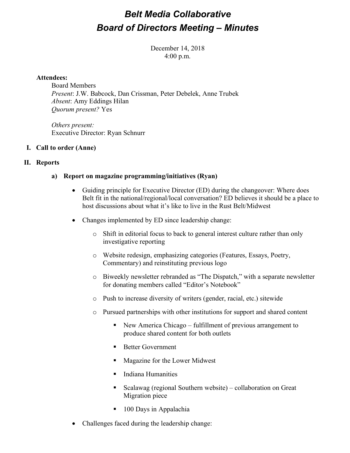### *Belt Media Collaborative Board of Directors Meeting – Minutes*

December 14, 2018 4:00 p.m.

### **Attendees:**

Board Members *Present*: J.W. Babcock, Dan Crissman, Peter Debelek, Anne Trubek *Absent*: Amy Eddings Hilan *Quorum present?* Yes

*Others present:* Executive Director: Ryan Schnurr

### **I. Call to order (Anne)**

### **II. Reports**

### **a) Report on magazine programming/initiatives (Ryan)**

- Guiding principle for Executive Director (ED) during the changeover: Where does Belt fit in the national/regional/local conversation? ED believes it should be a place to host discussions about what it's like to live in the Rust Belt/Midwest
- Changes implemented by ED since leadership change:
	- o Shift in editorial focus to back to general interest culture rather than only investigative reporting
	- o Website redesign, emphasizing categories (Features, Essays, Poetry, Commentary) and reinstituting previous logo
	- o Biweekly newsletter rebranded as "The Dispatch," with a separate newsletter for donating members called "Editor's Notebook"
	- o Push to increase diversity of writers (gender, racial, etc.) sitewide
	- o Pursued partnerships with other institutions for support and shared content
		- New America Chicago fulfillment of previous arrangement to produce shared content for both outlets
		- Better Government
		- Magazine for the Lower Midwest
		- Indiana Humanities
		- Scalawag (regional Southern website) collaboration on Great Migration piece
		- 100 Days in Appalachia
- Challenges faced during the leadership change: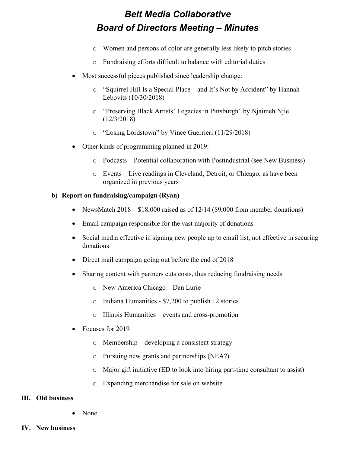## *Belt Media Collaborative Board of Directors Meeting – Minutes*

- o Women and persons of color are generally less likely to pitch stories
- o Fundraising efforts difficult to balance with editorial duties
- Most successful pieces published since leadership change:
	- o "Squirrel Hill Is a Special Place—and It's Not by Accident" by Hannah Lebovits (10/30/2018)
	- o "Preserving Black Artists' Legacies in Pittsburgh" by Njaimeh Njie (12/3/2018)
	- o "Losing Lordstown" by Vince Guerrieri (11/29/2018)
- Other kinds of programming planned in 2019:
	- o Podcasts Potential collaboration with Postindustrial (see New Business)
	- o Events Live readings in Cleveland, Detroit, or Chicago, as have been organized in previous years

### **b) Report on fundraising/campaign (Ryan)**

- NewsMatch  $2018 $18,000$  raised as of  $12/14$  (\$9,000 from member donations)
- Email campaign responsible for the vast majority of donations
- Social media effective in signing new people up to email list, not effective in securing donations
- Direct mail campaign going out before the end of 2018
- Sharing content with partners cuts costs, thus reducing fundraising needs
	- o New America Chicago Dan Lurie
	- o Indiana Humanities \$7,200 to publish 12 stories
	- o Illinois Humanities events and cross-promotion
- Focuses for 2019
	- o Membership developing a consistent strategy
	- o Pursuing new grants and partnerships (NEA?)
	- o Major gift initiative (ED to look into hiring part-time consultant to assist)
	- o Expanding merchandise for sale on website

### **III. Old business**

- None
- **IV. New business**